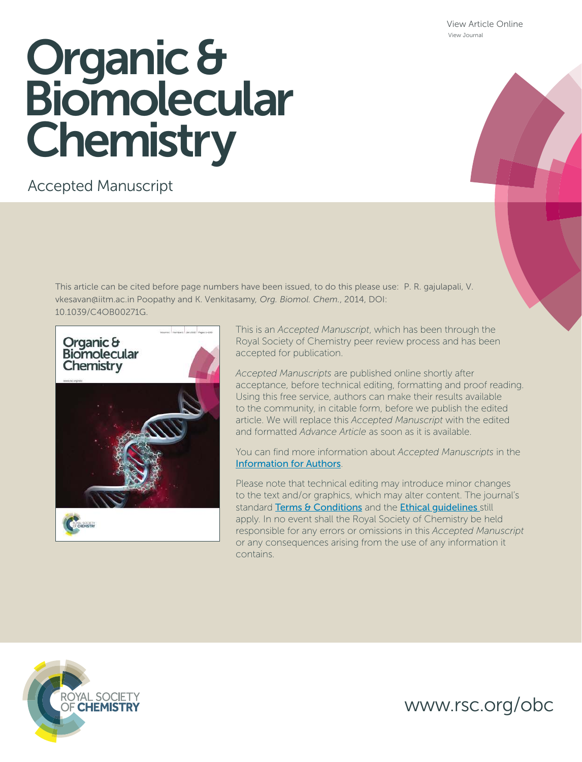View Article Online View Journal

# Organic & **Biomolecular Chemistry**

## Accepted Manuscript

This article can be cited before page numbers have been issued, to do this please use: P. R. gajulapali, V. vkesavan@iitm.ac.in Poopathy and K. Venkitasamy*, Org. Biomol. Chem.*, 2014, DOI: 10.1039/C4OB00271G.



This is an *Accepted Manuscript*, which has been through the Royal Society of Chemistry peer review process and has been accepted for publication.

*Accepted Manuscripts* are published online shortly after acceptance, before technical editing, formatting and proof reading. Using this free service, authors can make their results available to the community, in citable form, before we publish the edited article. We will replace this *Accepted Manuscript* with the edited and formatted *Advance Article* as soon as it is available.

You can find more information about *Accepted Manuscripts* in the Information for Authors.

Please note that technical editing may introduce minor changes to the text and/or graphics, which may alter content. The journal's standard Terms & Conditions and the Ethical quidelines still apply. In no event shall the Royal Society of Chemistry be held responsible for any errors or omissions in this *Accepted Manuscript* or any consequences arising from the use of any information it contains.



www.rsc.org/obc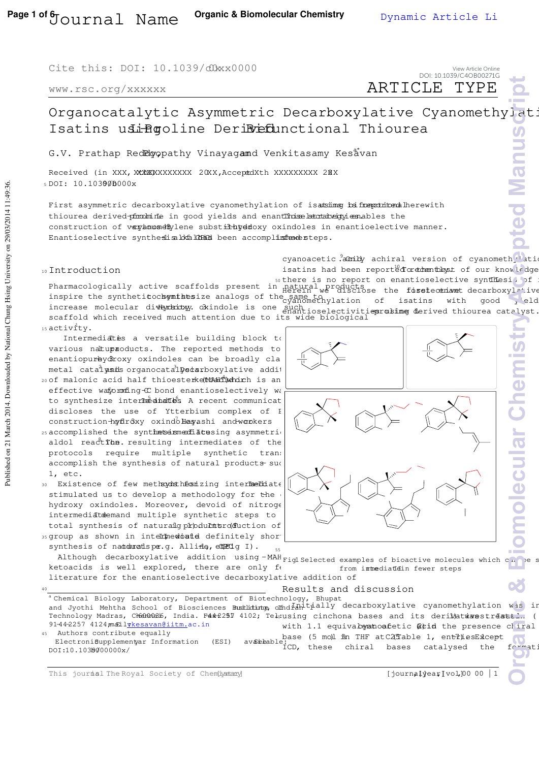Cite this: DOI: 10.1039/c0xx0000

www.rsc.org/xxxxxx

ARTICLE TYPE View Article Online DOI: 10.1039/C4OB00271G

### Organocatalytic Asymmetric Decarboxylative Cyanomethylat: Isatins usingoline DeriBrefunctional Thiourea

G.V. Prathap Redelyopathy Vinayagamd Venkitasamy Kesavan

Received (in XXX, XXXXXXXXXXXXX 20XX, AcceptdXth XXXXXXXXX 20XX  $5$  DOI:  $10.103000000x$ 

First asymmetric decarboxylative cyanomethylation of isatsims is freepotitonalherewith thiourea derived promobing in good yields and enantions between the strategy enables the construction of varianomethylene substituted axindoles in enantioelective manner. Enantioselective synthesis akkak alka oeen accomplished steps.

#### <sup>10</sup> Introduction

cyanoacetic achiral version of cyanometh<sub>1</sub> atio isatins had been reported or the best of our knowledge

sothere is no report on enantioselective synthesi, of :<br>Pharmacologically active scaffolds present in natural products on the firstective synthesial ive inspire the syntheticochemists ize analogs of the same to inspire the syntheticochemists analogs of the same to increase molecular dittentiony. oxindole is one such scaffold which received much attention due to its wide biological  $15$  activity. Herein we disclose the forstectionet decarboxylative  $\epsilon$  salignethylation of isatins with good  $\chi$  eld enantioselectivities rosing derived thiourea catalyst. **Organic & Biomolecular Chemistry and Pied Manuscript** 

Intermediatis a versatile building block to various natuproducts. The reported methods to enantiopurbydroxy oxindoles can be broadly cla metal catalysis organocatalysisrboxylative addit 20 of malonic acid half thioeste<del>rke MAHT Ma</del>nich is an effective waforming  $C$  bond enantioselectively was to synthesize intermediates A recent communicat discloses the use of Ytterbium complex of P construction-hydroxy oxindoles ashi and wookers  $25$  accomplished the synthets intermediate sing asymmetric aldol reaction. resulting intermediates of the protocols require multiple synthetic trans

accomplish the synthesis of natural products sud 1, etc. 30 Existence of few methods hesizing intermediate stimulated us to develop a methodology for the

hydroxy oxindoles. Moreover, devoid of nitroge intermediatdemand multiple synthetic steps to total synthesis of naturalg production of 35 group as shown in intermed bated definitely shor

synthesis of natduratspe.g. Alline, ettedg I).

Although decarboxylative addition using -MAH<sub>Figl</sub> selection Fig1 Selected examples of bioactive molecules which can be s ketoacids is well explored, there are only  $f \leftarrow$ from immediatein fewer steps literature for the enantioselective decarboxylative addition of **CJ** 

#### Results and discussion

a Chemical Biology Laboratory, Department of Biotechnology, Bhupat and Jyothi Mehtha School of Biosciences Bustldting, offind Lan Livitudly decarboxylative cyanomethylation was in Technology Madras, Chennais, India. F442251 4102; Tel:using cinchona bases and its derii)atwrestreatti... ( 91-44-2257 4124; mahilykesavan@iitm.ac.in Authors contribute equally with 1.1 equivalent oafetic @tid the presence chiral base (5 mo)l in THF at C2(Table 1, enthies Exicept

Electroni6upplementyar Information (ESI) DOI:10.1030000000x/ ICD, these chiral bases catalysed the formati

This journal The Royal Society of Chemisterny [journal] [journal]  $jear[vol,]00000$  | 1



40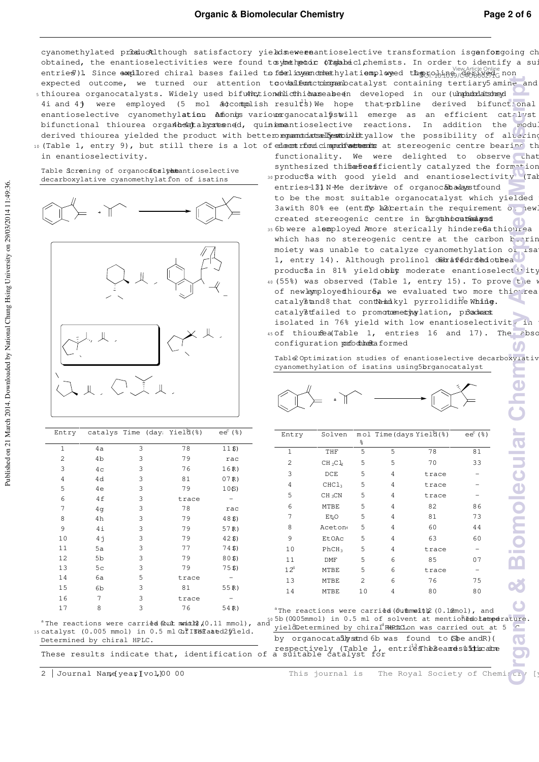cyanomethylated promuctalthough satisfactory yields new enantioselective transformation is genfongoing ch obtained, the enantioselectivities were found to whe head of Tanahecl chemists. In order to identify a sui view Article Online<br>20 entries )1. Since exepilored chiral bases failed to fobeliayeandunethylationsployeed the AGA (A-phy2AG non expected outcome, we turned our attention to ovtail functiong and catalyst containing tertiary 5 amine and 5 thiourea organocatalysts. Widely used bifunctionahld thioun seabeen developed in our (unpubriatsineyd 4i and 4) were employed (5 mol  $\frac{2}{3}$  accomplish results) We hope that priline derived bifunctional enantioselective cyanomethylation Amfoniys variowarganocatalystill emerge as an efficient catalyst bifunctional thiourea orgañ be that the enantioselective reactions. In addition the modul derived thiourea yielded the product with betterorgannicats all estimative allow the possibility of altering 10 (Table 1, entry 9), but still there is a lot of enleronic improblements at stereogenic centre bearing th **ORGANIC CORGANIC CORGANIC CORGANIC CORGANIC CORGANIC CORGANIC CORGANIC CORGANIC CORGANIC CORGANIC CORGANIC CORGANIC CORGANIC CORGANIC CORGANIC CORGANIC CORGANIC CORGANIC CORGANIC CORGANIC CORGANIC CORGANIC CORGANIC CORGAN** 

Table Screning of organocatorlyementioselective decarboxylative cyanomethylation of isatins

in enantioselectivity.



- functionality. We were delighted to observe that synthesized thibabeasficiently catalyzed the formation 30 produc $6a$  with good yield and enantioselectivity (Tab
- entries-131 N-Me derituave of organocat awayst found to be the most suitable organocatalyst which yielded 3awith 80% ee (entip hasertain the requirement of new created stereogenic centre in brgahocated stereogenic centre in brgahocated
- 35 6b were alemployed Amore sterically hindered a thiourea which has no stereogenic centre at the carbon  $\frac{1}{2}$ ring moiety was unable to catalyze cyanomethylation of isa 1, entry 14). Although prolinol derafedrded othea
- producta in 81% yield obit moderate enantioselectivity 40 (55%) was observed (Table 1, entry 15). To prove the w of newlemployedthiour&a we evaluated two more thiourea catalystand8 that cont $\theta$  and  $\theta$  pyrrolidine while.
	- catalystfailed to promotemethylation, product
- isolated in 76% yield with low enantioselectivity in 45 of thiourea (Table 1, entries 16 and 17). The absolution configuration porfodulation to the a  $\boldsymbol{U}$

Table2 Optimization studies of enantioselective decarboxylativ cyanomethylation of isatins using5brganocatalyst



|    |    | catalys Time (day: Yield(%)                         |       | $ee^c$ ( $\S$ ) | Entry                                                                                                                                        | Solven            | ႜ              |    | mol Time(days Yielૈd(%)                                            | $eec$ (%) |
|----|----|-----------------------------------------------------|-------|-----------------|----------------------------------------------------------------------------------------------------------------------------------------------|-------------------|----------------|----|--------------------------------------------------------------------|-----------|
|    | 4a | 3                                                   | 78    | 11S             |                                                                                                                                              | THF               | 5              | 5  | 78                                                                 | 81        |
|    | 4b | 3                                                   | 79    | rac             | 2                                                                                                                                            | $CH_2Cl_2$        | 5              | 5. | 70                                                                 | 33        |
| 3  | 4c | 3                                                   | 76    | 16R)            | 3                                                                                                                                            | DCE               | 5              | 4  | trace                                                              |           |
|    | 4d | 3                                                   | 81    | 07R             |                                                                                                                                              |                   |                |    |                                                                    |           |
| 5  | 4e | 3                                                   | 79    | 10(S)           | 4                                                                                                                                            | CHCl <sub>3</sub> | 5              | 4  | trace                                                              |           |
| 6  | 4f | 3                                                   | trace |                 | 5                                                                                                                                            | $CH_3CN$          | 5              | 4  | trace                                                              |           |
|    | 4q | 3                                                   | 78    | rac             | 6                                                                                                                                            | MTBE              | 5              | 4  | 82                                                                 | 86        |
| 8  | 4h | 3                                                   | 79    | 48S             |                                                                                                                                              | Et O              | 5              | 4  | 81                                                                 | 73        |
| 9  | 4i | 3                                                   | 79    | 57R             | 8                                                                                                                                            | <b>Aceton</b>     | 5              | 4  | 60                                                                 | 44        |
| 10 | 4j | 3                                                   | 79    | 42S             | 9                                                                                                                                            | <b>EtOAc</b>      | 5.             | 4  | 63                                                                 | 60        |
| 11 | 5a | 3                                                   | 77    | 74\$)           | 10                                                                                                                                           | PhCH <sub>3</sub> | 5              | 4  | trace                                                              |           |
| 12 | 5b | 3                                                   | 79    | 80 <sub>5</sub> | 11                                                                                                                                           | DMF               | 5              | 6  | 85                                                                 | 07        |
| 13 | 5c | 3                                                   | 79    | 75S             | $12^d$                                                                                                                                       | MTBE              | 5              | 6  | trace                                                              |           |
| 14 | 6a | 5                                                   | trace |                 | 13                                                                                                                                           | MTBE              | $\overline{2}$ | 6  | 76                                                                 | 75        |
| 15 | 6b | 3                                                   | 81    | 55R             | 14                                                                                                                                           | MTBE              | 10             | 4  | 80                                                                 | 80        |
| 16 | 7  | 3                                                   | trace |                 |                                                                                                                                              |                   |                |    |                                                                    |           |
| 17 | 8  | 3                                                   | 76    | 54R)            |                                                                                                                                              |                   |                |    | <sup>a</sup> The reactions were carried (outhmoith) (0.1mmol), and |           |
|    |    | catalyst (0.005 mmol) in 0.5 ml @fITBHTaated25ield. |       |                 | The reactions were carried (but municip) $(0.11 \text{ mmol})$ , and $(0.11 \text{ mmol})$ in 0.5 ml of solvent at mentiones other perature. |                   |                |    |                                                                    |           |

Determined by chiral HPLC. These results indicate that, identification of a suitable catalyst for<br>These results indicate that, identification of a suitable catalyst for

2 | Journal Name(year [vol]0000 This journal is The Royal Society of Chemistry

15 Ca<sup>-</sup>

Published on 21 March 2014. Downloaded by National Chung Hsing University on 29/03/2014 11:49:36. Published on 21 March 2014. Downloaded by National Chung Hsing University on 29/03/2014 11:49:36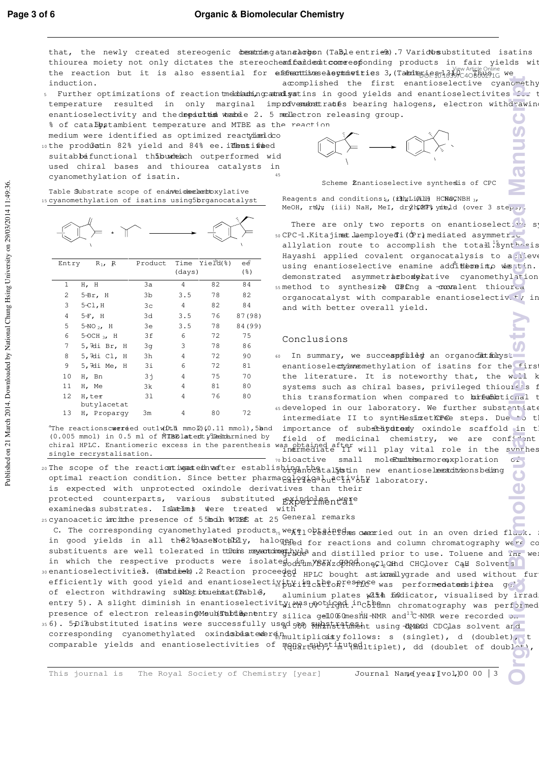that, the newly created stereogenic dematriengatanahoopon (Table entries).7 Various ubstituted isatins thiourea moiety not only dictates the stereochemifical demutcome esponding products in fair yields wit the reaction but it is also essential for efficantive selegiministics 3, (Tabrit sentral ) we Article Online we<br>Article 3, (Tabrit sentral 3, Table 3, 13, 13, 13, 13, 14, 13, 14, 14, 15, 16, 16, 17, 17, 17, 17, 17, 17, 17, induction. accomplished the first enantioselective cyanomethy

- 5 Further optimizations of reaction und that prathed stins in good yields and enantioselectivites for t temperature resulted in only marginal improfvement trates bearing halogens, electron withdrawin enantioselectivity and the depiction were allectron releasing group. % of cataDbstambient temperature and MTBE as the reaction <u>S</u>
- medium were identified as optimized reaction dco
- 10 the productin 82% yield and 84% ee. identified suitabbeifunctional thibum each outperformed wid used chiral bases and thiourea catalysts in cyanomethylation of isatin. 45
- Table Substrate scope of enanteidse had to xylative 15 cyanomethylation of isatins using 5brganocatalyst



| Entry | $R_1$ , R             | Product |        | Time Yield(%) | ee      |
|-------|-----------------------|---------|--------|---------------|---------|
|       |                       |         | (days) |               | (응)     |
| 1     | H, H                  | 3a      | 4      | 82            | 84      |
| 2     | $5-Br$ , H            | 3b      | 3.5    | 78            | 82      |
| 3     | $5-C1, H$             | 3c      | 4      | 82            | 84      |
| 4     | $5F$ , H              | 3d      | 3.5    | 76            | 87 (98) |
| 5     | $5-NO_2$ , H          | 3e      | 3.5    | 78            | 84 (99) |
| 6     | $5-OCH_3$ , H         | 3f      | 6      | 72            | 75      |
| 7     | 5,7di Br, H           | 3g      | 3      | 78            | 86      |
| 8     | 5,7di Cl,<br>Н        | 3h      | 4      | 72            | 90      |
| 9     | 5,7di Me, H           | Зi      | 6      | 72            | 81      |
| 10    | H, Bn                 | 31      | 4      | 75            | 70      |
| 11    | H, Me                 | 3k      | 4      | 81            | 80      |
| 12    | H, ter<br>butylacetat | 31      | 4      | 76            | 80      |
| 13    | H, Proparqy           | Зm      | 4      | 80            | 72      |

<sup>a</sup>The reactionscuereed outlwDth mmol)(0.11 mmol), 5bnd importance of substhivid texty oxindole scaffold in the  $(0.005$  mmol) in 0.5 ml of MTBE at edty induction ined by single recrystalisation.



Scheme Enantioselective synthesis of CPC

Reagents and conditions: (ith; LiAlH HCNOCNBH 3, MeOH, rth; (iii) NaH, MeI, dryhpMF% yiteld (over 3 steps).

There are only two reports on enantioselective s 50 CPC -1.Kitajimat.laemployedTi(Òr) mediated asymmetric

- allylation route to accomplish the totall. Synthesis Hayashi applied covalent organocatalysis to a nieve using enantioselective enamine additeraino weatin. demonstrated asymmetric bodycative cyanomethylation 55 method to synthesize CBCnq a -commalent thioured
- organocatalyst with comparable enantioselectiv<sub>-</sub>+ $\frac{1}{\sqrt{2}}$  in and with better overall yield.

#### Conclusions

60 In summary, we succeappfuled an organocationyst enantioselectyanemethylation of isatins for the firs the literature. It is noteworthy that, the well k systems such as chiral bases, privileged thioures f this transformation when compared to bifundupticnal t 65 developed in our laboratory. We further substantiate intermediate II to synthesizethPee steps. Due to t **Organical Corporation Chemistry**<br> **Organic Corporation Chemistry**<br> **Corporation Chemistry**<br> **Corporation**<br> **Corporation**<br> **Corporation**<br> **Corporation**<br> **Corporation**<br> **Corporation**<br> **Corporation**<br> **Corporation**<br> **Co** 

chiral HPLC. Enantiomeric excess in the parenthesis was obtained after<br>intermediate II will play vital role in the synthes field of medicinal chemistry, we are confident  $70$  bioactive small molecumites armore, xploration  $c_{\perp}$ 

20 The scope of the reaction impasted nuefter establishing the fataly stin new enantioselection she ing optimal reaction condition. Since better pharmacglogiedaluectivity laboratory. is expected with unprotected oxindole derivatives than their protected counterparts, various substituted pxindolmentale examinedas substrates. Islatims were treated with

25 Cyanoacetic incithe presence of 55 molh \MT&E at 25 General remarks

C. The corresponding cyanomethylated products<sub>75</sub> we per obtained over the anal oven dried flask. in good yields in all the 2% ase Notably, halogened for reactions and column chromatography were co substituents are well tolerated in timons mexantimethy and distilled prior to use. Toluene and Thr were in which the respective products were isolategodilm/66 NzofffenoneCl2 and CHClover Call Solvents 30 enantioselectivities. (Datines). 2 Reaction proceeded HPLC bought astianally grade and used without fur efficiently with good yield and enantioselecti<sub>s</sub> the inclusive sence was performed at ensigned gel

- of electron withdrawing substitutentat(Table, entry 5). A slight diminish in enantioselectivity was unoticed incthemn chromatography was performed presence of electron releasingMeub(Stabtleenentry silica gel 006 CmeshH -NMR and<sup>13</sup>C-NMR were recorded on aluminium plates with foldicator, visualised by irrad
- 356). 5<del>D</del>iBubstituted isatins were successfully used 500 MHzhstitfinent using DMSOd CDC las solvent and corresponding cyanomethylated oxindsbdateweren<sub>inultiplicity follows: s (singlet), d (doublet), t</sub> comparable yields and enantioselectivities of menart upstitutedltiplet), dd (doublet of doublet),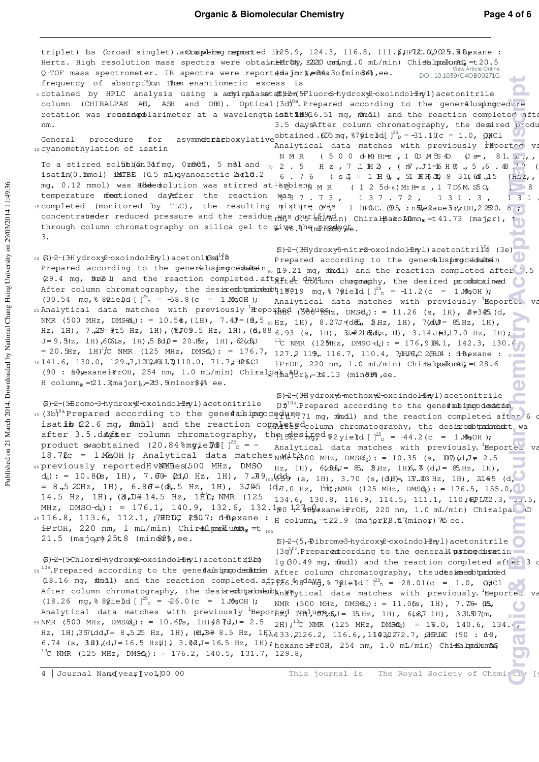triplet) bs (broad singlet).anthong reported in 25.9, 124.3, 116.8, 111.6, HPLC 0, 9025. LH hexane : Hertz. High resolution mass spectra were obtain**eBrOW, ES2**10 usu,ngl.0 mL/min) Chi<del>ra</del>lpalkunAn, =t20.5 View Article Online DOI: 10.1039/C4OB00271GQ-TOF mass spectrometer. IR spectra were reportemajorte in 30fmin 64%, ee. **Organic**<br> **Organic Biomolecular**<br> **Excepted**<br> **Excepted**<br> **Excepted**<br> **Excepted**<br> **Excepted**<br> **Excepted**<br> **Excepted**<br> **Excepted**<br> **Excepted**<br> **Excepted**<br> **Excepted**<br> **Excepted**<br> **Excepted**<br> **Excepted**<br> **Excepted**<br> **Exce** frequency of absorption Them enantiomeric excess is sobtained by HPLC analysis using a adwirpdlasseta\$Sheof5Fluor&hydroxy2-oxoindol=3ryl)acetonitrile s column (CHIRALPAK AD, ASH and OH). Optical(3d)<sup>0a</sup>. Prepared according to the general usping cedure rotation was reusid polarimeter at a wavelength is fitill 916.51 mg, mmoll) and the reaction completed afte 3.5 daysAfter column chromatography, the desired produ nm. obtained . $6I/5$  mg,  $87$ gield[ $1^{25}$ General procedure for asymmetric decaylative obtained  $\text{GUS}$  mg,  $\text{Gygie}$  of  $\text{GUS}$   $\text{GUS}$   $\text{GUS}$ Analytical data matches with previously  $^{\frac{1}{2}}$ Hported va <sup>10</sup> cyanomethylation of isatin NMR (500 d-M) H:=  $2, 1$  OMS 40 (J =  $6, 81.1 \omega$ ), To a stirred solfibi(2n3dfmg, 0mmOl, 5 m&l and <sub>70</sub> 2 . 5 H z , 7 1 H 2 , (m7, J 1=16 H 8) , 5 , 6 . 48.7 O ( isatin(0.1mmol) imTBE  $(0.5 \text{ mL})$ gyanoacetic  $2d1d.2$ 6.76 ( $sJ = 1H0$ , 51  $H0B \Rightarrow 31.600$ . 15 ( $h\alpha z$ , mg, 0.12 mmol) was addeestolution was stirred at ampoient MR (125 d 6) M: H z , 1 7 D6 M. S5 O, 188. temperature mentioned daysfter the reaction was Mas<sub>3</sub> 7 . 7 3 , 1 3 7 . 7 2 , 1 3 1 . 3 , 1 3 1 . <sup>15</sup> completed (monitored by TLC), the resulting mixture was  $m$ <sup>1</sup>1<sup>1</sup>/<sub>1</sub> and  $m$ <sub>1</sub>, 110.9, 110.9, 10.9, 10.9, 10.9, 10.9, 10.9, 10.9, 10.9, 10.9, 10.9, 10.9, 10.9, 10.9, 10.9, 10.9, 10.9, 10.9, 10.9, 10.9, 10.9, 10.9, 10.9, 10.9, 10.9, 10.9, 10.9, 10.9, 10.9, 10.9, 10.9, 10.9, concentratueder reduced pressure and the residue mm?s out mind in Chiralpako ADmn, = 41.73 (major), t through column chromatography on silica gel to give the mPhody ge. 3.  $(S)-2-(3Hydroxy5-nitr@-oxoindol-3nyl)acetonitri<sup>10a</sup> (3e)$ 20 (S)-2-(3-H ydroxy2-oxoindol-3-hyl)acetonit3ad<sup>10</sup>è Prepared according to the generalsping cedule in Prepared according to the generals procedure  $n_{so}$  (19.21 mg, mondl) and the reaction completed after  $3.5$ (29.4 mg, ft and the reaction completed aft antighted devitim charginaphy, the desired productined  $\mathbf C$ After column chromatography, the desixes obtain that  $(19a19 \text{ mg}, 879b1e1d)$   $[$   $]^{25}$  = -11.2(c = 1.00,0H);  $(30.54 \text{ mg}, \text{8} \text{9} \text{je} \text{Id} [\text{]}^2$  = -58.8(c = 1.MeOH); Analytical data matches with previously  ${}^{1}$  Heported 25 Analytical data matches with previously  $H$  (500  $H$  $\frac{1}{2}$  (500  $H$  $\frac{1}{2}$ ,  $\frac{1}{2}$  = 11.26 (s, 1H),  $\frac{1}{2}$  = 345 (d, NMR (500 MHz, DMS $\Theta_6$ ): = 10.5\$,(1H), 7.4J=(8,5  $_{85\,{\rm Hz}}$ , 1H), 8.27J=(d $\epsilon$ 5, 2Hz, 1H), 7(d) $\beta$ = 85.Hz, 1H), Hz, 1H), 7.2D=9t5 Hz, 1H),(₹J⊕9.5 Hz, 1H),(6,88 <sub>6.93</sub> (s, 1H), 3.⊋2165dz, H), 3.14 Jfd,17.0 Hz, 1H);  $J= 9.5Hz$ , 1H),  $606(s, 1H)$ ,  $5.8d$  $J= 20.5z$ , 1H),  $62(d)J$ <sup>13</sup>C NMR (125MHz, DMSO-d<sub>6</sub>): = 176, 9184.1, 142.3, 130.6  $= 20.5$ Hz, 1H)<sup>1</sup>;C NMR (125 MHz, DMSQ<sub>6</sub>): = 176.7, 127.2, 119, 116.7, 110.4, 7, HPQ, C 2(90.04 : il flexane : 30141.6, 130.0, 129.7,1212.4911.70110.0, 71.7,H2B.Cl <sub>iPrOH,</sub> 220 nm, 1.0 mL/min) Chi<del>i</del>alqoalkunAn, =t28.6 (90 : fidnexane i PrOH, 254 nm, 1.0 mL/min) Chiralpak a Br<sub>k</sub> = 34.13 (min0 $\mathfrak{B}$ , ee. H column<sub>x</sub> =  $21.3$  major),  $-23.9$  minor \$4% ee. (S)-2-(3-H ydroxy-5-methoxy-2-oxoindolin-3-yl)acetonitrile (S)-2-(5-Bromo-3-hydroxy-2-oxoindolin-3-yl)acetonitrile  $(3f)$ <sup>10a</sup>.Prepared according to the gene and ipropodedurient 35 (3b)<sup>0a</sup> Prepared according to the gene and immocedure 71 mg, mmdl) and the reaction completed after 6 d isatib (22.6 mg, filmol) and the reaction completed column chromatography, the desired product wa after 3.5.d&  $y$  is column chromatography, the  $\frac{1}{25}$   $\frac{1}{25}$   $\frac{1}{25}$   $\frac{1}{25}$   $\frac{1}{25}$   $\frac{1}{25}$   $\frac{1}{25}$   $\frac{1}{25}$   $\frac{1}{25}$   $\frac{1}{25}$   $\frac{1}{25}$   $\frac{1}{25}$   $\frac{1}{25}$   $\frac{1}{25}$   $\frac{1}{25}$   $\frac{1}{25}$ product swaobtained (20.84% mgiel@f[] $^{25}_{D}$  = -Analytical data matches with previously. Heported va 18.72c = 1 MeOH ); Analytical data matches  $NMR^i$ t $\bar{A}$ 300 MHz, DMS $\omega_6$ ): = 10.35 (s, 1H)(d, J= 2.5 opreviously reported HvNMR (500 MHz, DMSO (Hz, 1H), 6. (d) 4, 5.15 and 1.5 Hz, 1H), 6. 14 Hz, 1H),  $d_6$ ): = 10.80s, 1H), 7.60  $d_6$  Hz, 1H), 7.49  $d_0$  $_{100}$ (959 (s, 1H), 3.70 (s,(3H)=,13.03 Hz, 1H), 2I95 (d, = 8.5 20Hz, 1H), 6.8 $\sigma = (\mathcal{A}, 5 \text{ Hz}, 1\text{H})$ , 3J $\theta$ 5 ( $\phi$ <sub>*i*)</sub>  $\frac{1}{2}$  $\eta$ .0 Hz,  $1\frac{1}{10}$ ;NMR (125 MHz, DMS $\phi_6$ ): = 176.5, 155.0, 14.5 Hz, 1H),  $(3, 0.3 \pm 14.5 \text{ Hz}, 1\text{ H})$ ; NMR  $(125 \text{ 134.6}, 130.8, 116.9, 114.5, 111.1, 110;44$ PLC 2.3,  $3.5, 5.$ MHz, DMSO-d<sub>6</sub>): = 176.1, 140.9, 132.6, 132.1<sub>00</sub> 12 honexaneiPrOH, 220 nm, 1.0 mL/min) Chiralpak aD  $45\ 116.8$ ,  $113.6$ ,  $112.1$ ,  $70$ RPDC  $2507$ : ndexane :  $_{\rm H}$  column<sub>x</sub> = 22.9 (majp=28.17minor)75 ee.  $i$ PrOH, 220 nm, 1 mL/min) Chir<del>al</del>lpanklum $D_{R}$  = t  $_{105}$  $21.5$  (major),  $25t.8$  (mino2%, ee. (S)-2-(5,7-Dibromo-3-hydroxy-2-oxoindolin-3-yl)acetonitrile  $(3q)^{10a}$ . Prepared cording to the general 4 procedure times (S)-2-(5-Chlore3-hydroxy2-oxoindolinyl)acetonitriBbo 1g(30.49 mg, mmdl) and the reaction completed after 3  $\sigma$ 50<sup>10a</sup>. Prepared according to the generalsimpodes the After column chromatography, the udesimeen burned (18.16 mg, fundl) and the reaction completed  $a_{\pi}$ fegg  $4$   $38$ da $_{\pi}$ g,  $\pi$   $7$ gield [ $1^{25}$ <sub>D</sub> = -28.01(c = 1.0,  $\pi$ After column chromatography, the desixeobtain that a series data matches with previously. Heported va  $(18.26 \text{ mg}, \frac{8}{8} \frac{\text{9} \text{ie}}{\text{g}} \text{d} [\ ]^{25} _{\text{D}} = -26.0 \text{ (c = 1.00} \text{g} \text{OH})$ ; NMR (500 MHz,  $DMS@_{6}$ ): = 11.05s, 1H), 7.76 ( $\Delta$ , Analytical data matches with previously  $H = \frac{1}{2}$   $H = \frac{1}{4}$ ,  $H = \frac{1}{2}$ , 1H), 6.687 1H), 3.31.57(m, **COMPANY**  $_{55}$  NMR (500 MHz, DMSQd $_6$ ): = 10.6 $7$ s, 1H)48 (d,J = 2.5  $_{2}$ H); $^{13}$ C NMR (125 MHz, DMSQ $_6$ ) = 13.0, 140.6, 134.4, Hz, 1H),357(dd,J= 8.525 Hz, 1H), (@1,B=9 8.5 Hz, 1H),133.2126.2, 116.6,,1103,0272.7, 2APLC (90 : 110, 6.74 (s,  $3\text{H1}_{\text{I}}$ (d $J$ = 16.5 Hz $\text{H}$ )  $1$  3. $\text{Q}aJ$ = 16.5 Hz, 1H); hexane iPrOH, 254 nm, 1.0 mL/min) Chiflab palkum as  $13C$  NMR (125 MHz, DMS $\mathbb{Q}_6$ ): = 176.2, 140.5, 131.7, 129.8, 4 | Journal Name(year [vol]0000 This journal is The Royal Society of Chemistry [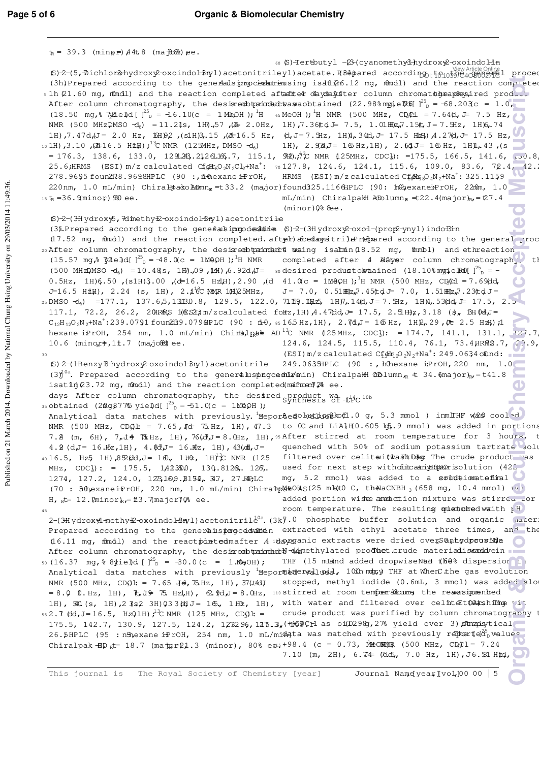| $t_R = 39.3$ (ming $\neq$ ) $A4t.8$ (ma $B66t$ ) ee.                                                                                                                                                                                                                                                                                                                                                                                                                                                                                                                                                                                                                                       |
|--------------------------------------------------------------------------------------------------------------------------------------------------------------------------------------------------------------------------------------------------------------------------------------------------------------------------------------------------------------------------------------------------------------------------------------------------------------------------------------------------------------------------------------------------------------------------------------------------------------------------------------------------------------------------------------------|
| 60 (S)-Tertbutyl - (23-(cyanomethy 3-hydroxy2-oxoindo 1-1 n<br>view Article Onling<br>\$)-2-(5, Dichlorshydroxy2-oxoindol 3ryl)acetonitrileyl)acetate. R3dpared according, tonding, tonding<br>proced<br>(3h)Prepared according to the generalsing cesturiansing is at 206.12 mg, mondl) and the reaction completed                                                                                                                                                                                                                                                                                                                                                                        |
| s 1h (21.60 mg, mundl) and the reaction completed after developments column chromat unexplaysired product<br>After column chromatography, the desixed prior and the solution (22.98% mg ie $\frac{35}{5} = -68.203c = 1.0$ ,<br>(18.50 mg, $\frac{3}{2}$ $\frac{3}{2}$ $\frac{1}{2}$ $\frac{5}{2}$ = -16.10(c = 1 Me <sub>2</sub> OH); <sup>1</sup> H $\frac{1}{2}$ $\frac{1}{2}$ $\frac{1}{2}$ $\frac{1}{2}$ $\frac{1}{2}$ $\frac{1}{2}$ $\frac{1}{2}$ $\frac{1}{2}$ $\frac{1}{2}$ $\frac{1}{2}$ $\frac{1}{2}$ $\frac{1}{2}$ $\frac{1}{2}$ $\frac{1}{2}$<br>NMR (500 MHzDMSO -d <sub>6</sub> ) = 11.21s, 1H),57,(硅 2.0Hz, 1H),7.36tcd = 7.5, 1.01HDz <sub>n</sub> ,15t,J=7.5Hz, 1H)6,74   |
| 1H),7.47d, U= 2.0 Hz, 15Hp2, (s1H)3,15, (d+16.5 Hz, (d, J=7.5Hz, 1H)4, 34d, J= 17.5 Hzt), 4.27(d, J= 17.5 Hz,<br>10 1H), 3.10, $(\pm 16.5 \text{ H} \text{dH})$ ; $^{13}$ C NMR (125MHz, DMSO -d <sub>6</sub> )<br>1H), $2.98J = 16 Hz,1H$ , $2.64J = 16 Hz,1H$ , $43$ , $(s)$<br>= 176.3, 138.6, 133.0, 1291.243.21261.166.7, 115.1, 992). $\hat{\tau}^2$ C NMR (125MHz, CDC4): =175.5, 166.5, 141.6, [.00.8]<br>25.6;HRMS (ESI) m/z calculated CfgHzO <sub>2</sub> N <sub>2</sub> Cl <sub>2</sub> +Na <sup>+</sup> : 70127.8, 124.6, 124.1, 115.6, 109.0, 83.6, 72.4, 42.3<br>HRMS $(ESI) m/z calculated Cf/dm8O4N2+Na+: 325.1159$<br>278.9695 foun278.9698HPLC (90 :, il thexane iPrOH, |
| 220nm, 1.0 mL/min) ChiralpackoADmn <sub>x</sub> =t33.2 (major)found325.1166HPLC (90: h0hexaneiPrOH, 22mm, 1.0<br>15 $t_R = 36.9$ minor, 980 ee.<br>$mL/min$ ) Chiralpa\H Atolumn <sub>R</sub> = t22.4(major) <sub>R</sub> = t27.4<br>$(minor)$ $0$ <sup>2</sup> $8$ ee.                                                                                                                                                                                                                                                                                                                                                                                                                    |
| (S)-2-(3Hydroxy5, 7dimethy £-oxoindol-3nyl) acetonitrile                                                                                                                                                                                                                                                                                                                                                                                                                                                                                                                                                                                                                                   |
| (3) Prepared according to the gene faultimpodes duine (S)-2-(3Hydroxy2-oxo1-(prop2-ynyl) indoBin                                                                                                                                                                                                                                                                                                                                                                                                                                                                                                                                                                                           |
| (17.52 mg, filmidl) and the reaction completed after) aced ay sitrile remanced according to the general roc<br>20 After column chromatography, the desisred bt printed waing isalmin (18.52 mg, 0mmbl) and ethreaction<br>$(15.57 \text{ mg})^2$ $\frac{1}{2}$ $2e$ $\frac{1}{2}$ $d$ $\left[\right]^{25}$ $d$ = -48.0(c = 1MeQH ); <sup>1</sup> H NMR<br>completed after 4 Natyer column chromatograph, th                                                                                                                                                                                                                                                                                |
| (500 MHzDMSO -d <sub>6</sub> ) = 10.48(s, 1H),09,031,6.92d(J= sodesired produstobraained (18.10% mogie Doll) <sup>25</sup> <sub>n</sub> = -                                                                                                                                                                                                                                                                                                                                                                                                                                                                                                                                                |
| 0.5Hz, 1H)6.50, (s1H)3.00, (d=16.5 HzH), 2.90, (d 41.0(c = 1MeQH); $^1$ H NMR (500 MHz, CDCl = 7.69dd,<br>J=16.5 H社), 2.24 (s, 1H), 2.1 6C NBAR 1(H)25MHz, J=7.0, 0.51HHz,7.45(td J=7.0, 1.51HHz,7.23(td J=                                                                                                                                                                                                                                                                                                                                                                                                                                                                                |
| $_{25}$ DMSO $-d_6$ ) =177.1, 137.6,5,13130.8, 129.5, 122.0, 71.59.104 $\pm$ , 1H)7,14 $d$ ,J=7.5Hz, 1H)4,53 $d$ d,J=17.5, 2.5<br>117.1, 72.2, 26.2, 20HRMS 1(ESZ) m/zcalculated folkz, 1H) A. 47(dd, $J = 17.5$ , 2. 5HHz, 3.18 (3, BH Od, $J = 17.5$<br>$C_{12}H_{12}O_2N_2+Na^+$ :239.0791 foun2t39.079 hPLC (90 : $n+0$ , ss 165 Hz, 1H), 2.7d, J = 16 Hz, 1H $Q$ , 29, $Q \equiv 2.5$ Hz); 1                                                                                                                                                                                                                                                                                          |
| hexane iPrOH, 254 nm, 1.0 mL/min) Chirialpak AD <sup>13</sup> C NMR (125MHz, CDC1): = 174.7, 141.1, 131.1, 127.7                                                                                                                                                                                                                                                                                                                                                                                                                                                                                                                                                                           |
| 124.6, 124.5, 115.5, 110.4, 76.1, 73.4 HRM2.7, 20.9,<br>10.6 (minox), 11.7 (majoda) ee.<br>$(EST)$ m/z calculated $Cf$ $M_0$ $O_2N_2+Na^+$ : 249.0634 of und:<br>30                                                                                                                                                                                                                                                                                                                                                                                                                                                                                                                        |
| $(S)$ -2-(Henzy-B-hydrox $\mathcal{L}$ -oxoindol-Bnyl)acetonitrile<br>$249.0635$ HPLC (90 :, hthexane iPrOH, 220 nm, 1.0<br>$(3)$ <sup>10a</sup> . Prepared according to the gener&luspingcodula min) Chiralpall CD lumn <sub>r</sub> $\pm$ 34.6 major) <sub>Rr</sub> = t41.8<br>isating $(23.72 \text{ mg})$ , mondl) and the reaction completed mainteen $74$ ee.                                                                                                                                                                                                                                                                                                                        |
| days After column chromatography, the desired synthesis of the lob<br>35 obtained (2mg 877% yield[ $J^{25}$ <sub>D</sub> = -51.0(c = 1MeOH );                                                                                                                                                                                                                                                                                                                                                                                                                                                                                                                                              |
| Analytical data matches with previously. Hepordedo but hose of .0 g, 5.3 mmol ) inm THF was cooled                                                                                                                                                                                                                                                                                                                                                                                                                                                                                                                                                                                         |
| NMR (500 MHz, CDgl: = 7.65, J& 75Hz, 1H), 47.3 to 0C and LiAlH(0.605 lg, 9 mmol) was added in portions<br>7.2 (m, 6H), 7,14 (LHz, 1H), 76(d]J = 8. CHz, 1H), 95 After stirred at room temperature for 3 hours,<br>quenched with 50% of sodium potassium tartrate solu<br>4.2 (d, $J = 16$ . $Hz$ , 1H), 4. $8d$ , $J = 16$ . $wz$ , 1H), 43( $d$ , $J = 16$                                                                                                                                                                                                                                                                                                                                |
| filtered over celitatithashtDAc The crude product was<br>40 16.5, Hz5 1H), $8\frac{1}{2}$ (dd, $J = 100$ , 1H $2$ , 1H) <sup>2</sup> C NMR (125                                                                                                                                                                                                                                                                                                                                                                                                                                                                                                                                            |
| used for next step withduitcanidion isolution (422)<br>MHz, CDC $\frac{1}{2}$ : = 175.5, 1A23500, 130.8126, 126,<br>mg, 5.2 mmol) was added to a soundeiomatefinal<br>1274, 127.2, 124.0, 1273,169.8152, 317, 27.HPLC<br>(70: BenexaneiPrOH, 220 nm, 1.0 mL/min) ChiralpMROMS(25 mlatO C, theNaCNBH 3 (658 mg, 10.4 mmol) vas                                                                                                                                                                                                                                                                                                                                                              |
| added portion wiste aneattion mixture was stirred for<br>H, $_{R}t=12$ . $\text{Minimum}$ $_{R}t=23$ . $\text{7}\text{ maximum}$ $\%$ ee.                                                                                                                                                                                                                                                                                                                                                                                                                                                                                                                                                  |
| room temperature. The resulting quistud medwaith $R$ <sup>H</sup><br>45                                                                                                                                                                                                                                                                                                                                                                                                                                                                                                                                                                                                                    |
| 2-(3Hydroxyl-methy £-oxoindol-3nyl) acetonitrile <sup>0a</sup> . (3k).0 phosphate buffer solution and organic adter:<br>Prepared according to the generalsproced at extracted with ethyl acetate three times, an <sup>1</sup> the<br>(16.11 mg, findl) and the reactidated mafter A udayganic extracts were dried overSanhydpooriNe                                                                                                                                                                                                                                                                                                                                                        |
| After column chromatography, the desixembtrandured dimethylated product.crude materiadisensidvein<br>50 (16.37 mg, $8 \text{Nie}$ $d$ [ $3^{25}$ = -30.0 (c = 1.MgOH);<br>THF (15 mLand added dropwiseNad the% dispersior 11                                                                                                                                                                                                                                                                                                                                                                                                                                                               |
| Analytical data matches with previously Hepormederalloss. 100h mappy THF at When the gas evolution<br>stopped, methyl iodide (0.6mL, 3 mmol) was added slot<br>NMR (500 MHz, CD $91:$ = 7.65 Jet, 75Hz, 1H), 37(t4dJ<br>$= 8.0$ D.Hz, 1H), ( $\frac{10}{10}$ , $\frac{100}{100}$ , $\frac{100}{100}$ , $\frac{100}{100}$ , $\frac{100}{100}$ at room temperations the rewassignented                                                                                                                                                                                                                                                                                                       |
| with water and filtered over celhteEtOMashilhog vit<br>1H), $50($ s, 1H), $2$ $3s2$ 3H) $033$ $6d$ J = 16., 1H $2$ , 1H),<br>55 2.1 (dd, J = 16.5, HzQ1H); <sup>13</sup> C NMR (125 MHz, CDQl: =<br>crude product was purified by column chromatography                                                                                                                                                                                                                                                                                                                                                                                                                                    |
| 175.5, 142.7, 130.9, 127.5, 124.2, 123296, 125.3, (HOFCH as oi(D298, 27% yield over 3) Atmaplaytical<br>26.5HPLC (95 : nH)exane iPrOH, 254 nm, 1.0 mL/midd a was matched with previously repreted nue-                                                                                                                                                                                                                                                                                                                                                                                                                                                                                     |
| Chiralpak $\oplus$ $p_k$ = 18.7 (maj $p \neq 21.3$ (minor), 80% ees +98.4 (c = 0.73, MeONNY) (500 MHz, CDO I = 7.24<br>7.10 (m, 2H), $6.74$ (dob, 7.0 Hz, 1H), J $6.31$ Htd,                                                                                                                                                                                                                                                                                                                                                                                                                                                                                                               |
| Journal Name[year]vol]00 00   5<br>The Royal Society of Chemistry [year]<br>This journal is                                                                                                                                                                                                                                                                                                                                                                                                                                                                                                                                                                                                |